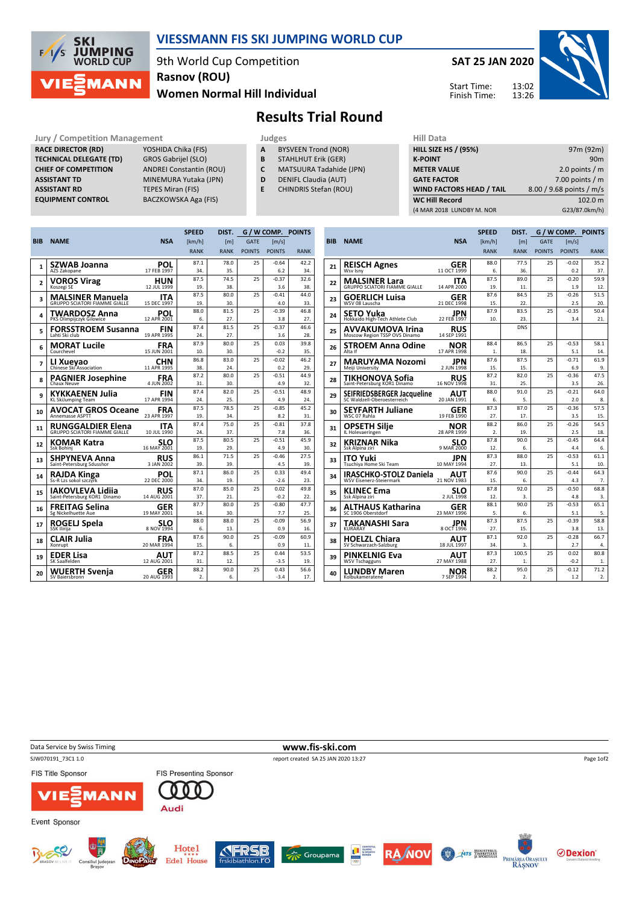

## VIESSMANN FIS SKI JUMPING WORLD CUP

9th World Cup Competition Women Normal Hill Individual Rasnov (ROU)

SAT 25 JAN 2020

Start Time: Finish Time:



## Results Trial Round

Jury / Competition Management **Judges** Judges Hill Data<br>
RACE DIRECTOR (RD) YOSHIDA Chika (FIS) **A** BYSVEEN Trond (NOR) HILL SIZE HILL SIZE RACE DIRECTOR (RD) TECHNICAL DELEGATE (TD) GROS Gabrijel (SLO)<br>CHIEF OF COMPETITION ANDREI Constantin ( ASSISTANT TD MINEMURA Yutaka (JPN) **ASSISTANT RD** TEPES Miran (FIS)<br> **EQUIPMENT CONTROL** BACZKOWSKA Aga

ANDREI Constantin (ROU) BACZKOWSKA Aga (FIS)

- A BYSVEEN Trond (NOR)
- **B** STAHLHUT Erik (GER)<br>**C** MATSUURA Tadahide
- MATSUURA Tadahide (JPN)
- D DENIFL Claudia (AUT)
- E CHINDRIS Stefan (ROU)

| .                               |                          |
|---------------------------------|--------------------------|
| <b>HILL SIZE HS / (95%)</b>     | 97m (92m)                |
| <b>K-POINT</b>                  | 90 <sub>m</sub>          |
| <b>METER VALUE</b>              | 2.0 points $/m$          |
| <b>GATE FACTOR</b>              | 7.00 points $/m$         |
| <b>WIND FACTORS HEAD / TAIL</b> | 8.00 / 9.68 points / m/s |
| <b>WC Hill Record</b>           | 102.0 m                  |
| (4 MAR 2018 LUNDBY M. NOR       | G23/87.0km/h)            |
|                                 |                          |

|                |                                         |                           | <b>SPEED</b>     | DIST.            | G / W COMP. POINTS |                |             |  |
|----------------|-----------------------------------------|---------------------------|------------------|------------------|--------------------|----------------|-------------|--|
| <b>BIB</b>     | <b>NAME</b>                             | <b>NSA</b>                | [km/h]           | [ <sub>m</sub> ] | <b>GATE</b>        | [m/s]          |             |  |
|                |                                         |                           | <b>RANK</b>      | <b>RANK</b>      | <b>POINTS</b>      | <b>POINTS</b>  | <b>RANK</b> |  |
|                | SZWAB Joanna                            | POL                       | 87.1             | 78.0             | 25                 | $-0.64$        | 42.2        |  |
| 1              | AZS Zakopane                            | 17 FEB 1997               | 34.              | 35.              |                    | 6.2            | 34.         |  |
| $\overline{a}$ | <b>VOROS Virag</b>                      | HUN                       | 87.5             | 74.5             | 25                 | $-0.37$        | 32.6        |  |
|                | Koszegi SE                              | 12 JUL 1999               | 19.              | 38.              |                    | 3.6            | 38.         |  |
| 3              | <b>MALSINER Manuela</b>                 | ITA                       | 87.5             | 80.0             | 25                 | $-0.41$        | 44.0        |  |
|                | <b>GRUPPO SCIATORI FIAMME GIALLE</b>    | 15 DEC 1997               | 19.              | 30.              |                    | 4.0            | 33.         |  |
| 4              | <b>TWARDOSZ Anna</b>                    | POL                       | 88.0             | 81.5             | 25                 | $-0.39$        | 46.8        |  |
|                | PKS Olimpijczyk Gilowice                | 12 APR 2001               | 6.               | 27.              |                    | 3.8            | 27.         |  |
| 5              | <b>FORSSTROEM Susanna</b>               | <b>FIN</b>                | 87.4             | 81.5             | 25                 | $-0.37$        | 46.6        |  |
|                | Lahti Ski club                          | 19 APR 1995               | 24.              | 27.              |                    | 3.6            | 28.         |  |
| 6              | <b>MORAT Lucile</b><br>Courchevel       | <b>FRA</b><br>15 JUN 2001 | 87.9<br>10.      | 80.0<br>30.      | 25                 | 0.03<br>$-0.2$ | 39.8<br>35. |  |
|                |                                         |                           |                  | 83.0             | 25                 |                | 46.2        |  |
| 7              | LI Xueyao<br>Chinese Ski Association    | CHN<br>11 APR 1995        | 86.8<br>38.      | 24.              |                    | $-0.02$<br>0.2 | 29.         |  |
|                |                                         |                           | 87.2             | 80.0             | 25                 | $-0.51$        | 44.9        |  |
| 8              | <b>PAGNIER Josephine</b><br>Chaux Neuve | <b>FRA</b><br>4 JUN 2002  | 31.              | 30.              |                    | 4.9            | 32.         |  |
|                |                                         |                           | 87.4             | 82.0             | 25                 | $-0.51$        | 48.9        |  |
| 9              | KYKKAENEN Julia<br>KL SkiJumping Team   | FIN<br>17 APR 1994        | 24.              | 25.              |                    | 4.9            | 24.         |  |
|                | <b>AVOCAT GROS Oceane</b>               | <b>FRA</b>                | 87.5             | 78.5             | 25                 | $-0.85$        | 45.2        |  |
| 10             | <b>Annemasse ASPTT</b>                  | 23 APR 1997               | 19.              | 34.              |                    | 8.2            | 31.         |  |
|                | <b>RUNGGALDIER Elena</b>                | ITA                       | 87.4             | 75.0             | 25                 | $-0.81$        | 37.8        |  |
| 11             | <b>GRUPPO SCIATORI FIAMME GIALLE</b>    | 10 JUL 1990               | 24.              | 37.              |                    | 7.8            | 36.         |  |
| 12             | KOMAR Katra                             |                           | 87.5             | 80.5             | 25                 | $-0.51$        | 45.9        |  |
|                | Ssk Bohini                              | <b>SLO</b><br>16 MAY 2001 | 19.              | 29.              |                    | 4.9            | 30.         |  |
| 13             | SHPYNEVA Anna                           | <b>RUS</b>                | 86.1             | 71.5             | 25                 | $-0.46$        | 27.5        |  |
|                | Saint-Petersburg Sdusshor               | 3 JAN 2002                | 39.              | 39.              |                    | 4.5            | 39.         |  |
| 14             | RAJDA Kinga                             | POL                       | 87.1             | 86.0             | 25                 | 0.33           | 49.4        |  |
|                | Ss-R Lzs sokol szczyrk                  | 22 DEC 2000               | 34.              | 19.              |                    | $-2.6$         | 23.         |  |
| 15             | IAKOVLEVA Lidiia                        | <b>RUS</b>                | 87.0             | 85.0             | 25                 | 0.02           | 49.8        |  |
|                | Saint-Petersburg KOR1 Dinamo            | 14 AUG 2001               | 37.              | 21.              |                    | $-0.2$         | 22.         |  |
| 16             | FREITAG Selina                          | GER                       | 87.7             | 80.0             | 25                 | $-0.80$        | 47.7        |  |
|                | Sg Nickelhuette Aue                     | 19 MAY 2001               | 14.<br>88.0      | 30.<br>88.0      | 25                 | 7.7<br>$-0.09$ | 25.<br>56.9 |  |
| 17             | ROGELJ Spela<br><b>SSK Ilirija</b>      | SLO<br>8 NOV 1994         | 6.               | 13.              |                    | 0.9            | 16.         |  |
|                |                                         |                           | 87.6             | 90.0             | 25                 | $-0.09$        | 60.9        |  |
| 18             | CLAIR Julia<br>Xonrupt                  | FRA<br>20 MAR 1994        | 15.              | 6.               |                    | 0.9            | 11.         |  |
|                |                                         |                           | 87.2             | 88.5             | 25                 | 0.44           | 53.5        |  |
| 19             | <b>EDER Lisa</b><br>SK Saalfelden       | AUT<br>12 AUG 2001        | 31.              | 12.              |                    | $-3.5$         | 19.         |  |
|                | <b>WUERTH Svenja</b>                    | GER                       | 88.2             | 90.0             | 25                 | 0.43           | 56.6        |  |
| 20             | SV Baiersbronn                          | 20 AUG 1993               | $\mathfrak{D}$ . | 6.               |                    | $-3.4$         | 17.         |  |
|                |                                         |                           |                  |                  |                    |                |             |  |

|            |                                                   |                                  | <b>SPEED</b>     | DIST.            | G / W COMP. POINTS |                     |             |
|------------|---------------------------------------------------|----------------------------------|------------------|------------------|--------------------|---------------------|-------------|
| <b>BIB</b> | <b>NAME</b>                                       | <b>NSA</b>                       | [km/h]           | [ <sub>m</sub> ] | <b>GATE</b>        | $\lceil m/s \rceil$ |             |
|            |                                                   |                                  | <b>RANK</b>      | <b>RANK</b>      | <b>POINTS</b>      | <b>POINTS</b>       | <b>RANK</b> |
|            | <b>REISCH Agnes</b>                               | GER                              | 88.0             | 77.5             | 25                 | $-0.02$             | 35.2        |
| 21         | Wsv Isny                                          | 11 OCT 1999                      | 6.               | 36.              |                    | 0.2                 | 37.         |
| 22         | <b>MALSINER Lara</b>                              | ITA                              | 87.5             | 89.0             | 25                 | $-0.20$             | 59.9        |
|            | <b>GRUPPO SCIATORI FIAMME GIALLE</b>              | 14 APR 2000                      | 19.              | 11.              |                    | 1.9                 | 12.         |
| 23         | <b>GOERLICH Luisa</b>                             | GER                              | 87.6             | 84.5             | 25                 | $-0.26$             | 51.5        |
|            | WSV 08 Lauscha                                    | 21 DEC 1998                      | 15.              | 22.              |                    | 2.5                 | 20.         |
| 24         | <b>SETO Yuka</b>                                  | JPN                              | 87.9             | 83.5             | 25                 | $-0.35$             | 50.4        |
|            | Hokkaido High-Tech Athlete Club                   | 22 FEB 1997                      | 10.              | 23.              |                    | 3.4                 | 21.         |
| 25         | AVVAKUMOVA Irina<br>Moscow Region TSSP OVS Dinamo | <b>RUS</b><br>14 SEP 1991        |                  | <b>DNS</b>       |                    |                     |             |
| 26         | <b>STROEM Anna Odine</b>                          | NOR                              | 88.4             | 86.5             | 25                 | $-0.53$             | 58.1        |
|            | Alta If                                           | 17 APR 1998                      | 1.               | 18.              |                    | 5.1                 | 14.         |
| 27         | <b>MARUYAMA Nozomi</b>                            | JPN                              | 87.6             | 87.5             | 25                 | $-0.71$             | 61.9        |
|            | Meiji University                                  | 2 JUN 1998                       | 15.              | 15.              |                    | 6.9                 | 9.          |
| 28         | TIKHONOVA Sofia                                   | <b>RUS</b>                       | 87.2             | 82.0             | 25                 | $-0.36$             | 47.5        |
|            | Saint-Petersburg KOR1 Dinamo                      | 16 NOV 1998                      | 31.              | 25.              |                    | 3.5                 | 26.         |
| 29         | SEIFRIEDSBERGER Jacqueline                        | AUT                              | 88.0             | 91.0<br>5.       | 25                 | $-0.21$             | 64.0        |
|            |                                                   | 20 JAN 1991                      | 6.<br>87.3       | 87.0             | 25                 | 2.0<br>$-0.36$      | 8.<br>57.5  |
| 30         | <b>SEYFARTH Juliane</b><br>WSC 07 Ruhla           | GER<br>19 FEB 1990               | 27.              | 17.              |                    | 3.5                 | 15.         |
|            |                                                   |                                  | 88.2             | 86.0             | 25                 | $-0.26$             | 54.5        |
| 31         | OPSETH Silie<br>IL Holevaeringen                  | NOR<br>28 APR 1999               | $\overline{2}$ . | 19.              |                    | 2.5                 | 18.         |
|            | KRIZNAR Nika                                      | SLO                              | 87.8             | 90.0             | 25                 | $-0.45$             | 64.4        |
| 32         | Ssk Alpina ziri                                   | 9 MAR 2000                       | 12.              | 6.               |                    | 4.4                 | 6.          |
|            | ITO Yuki                                          | JPN                              | 87.3             | 88.0             | 25                 | $-0.53$             | 61.1        |
| 33         | Tsuchiya Home Ski Team                            | 10 MAY 1994                      | 27.              | 13.              |                    | 5.1                 | 10.         |
| 34         | <b>IRASCHKO-STOLZ Daniela</b>                     | AUT                              | 87.6             | 90.0             | 25                 | $-0.44$             | 64.3        |
|            | WSV Eisenerz-Steiermark                           | 21 NOV 1983                      | 15.              | 6.               |                    | 4.3                 | 7.          |
| 35         | <b>KLINEC Ema</b>                                 | <b>SLO</b> <sub>2</sub> JUL 1998 | 87.8             | 92.0             | 25                 | $-0.50$             | 68.8        |
|            | Ssk Alpina ziri                                   |                                  | 12.              | 3.               |                    | 4.8                 | 3.          |
| 36         | ALTHAUS Katharina                                 | GER                              | 88.1             | 90.0             | 25                 | $-0.53$             | 65.1        |
|            | SC 1906 Oberstdorf                                | 23 MAY 1996                      | 5.               | 6.               |                    | 5.1                 | 5.          |
| 37         | TAKANASHI Sara                                    | JPN                              | 87.3             | 87.5             | 25                 | $-0.39$             | 58.8        |
|            | <b>KURARAY</b>                                    | 8 OCT 1996                       | 27.<br>87.1      | 15.<br>92.0      | 25                 | 3.8<br>$-0.28$      | 13.<br>66.7 |
| 38         | <b>HOELZL Chiara</b>                              | AUT<br>18 JUL 1997               | 34.              | 3.               |                    | 2.7                 | 4.          |
|            | SV Schwarzach-Salzburg                            |                                  | 87.3             | 100.5            | 25                 | 0.02                | 80.8        |
| 39         | <b>PINKELNIG Eva</b><br><b>WSV Tschagguns</b>     | AUT<br>27 MAY 1988               | 27.              | 1.               |                    | $-0.2$              | 1.          |
|            |                                                   |                                  | 88.2             | 95.0             | 25                 | $-0.12$             | 71.2        |
| 40         | LUNDBY Maren<br>Kolbukameratene                   | NOR<br>7 SEP 1994                | $\mathfrak{D}$ . | $\mathfrak{D}$ . |                    | 1.2                 | 2.          |
|            |                                                   |                                  |                  |                  |                    |                     |             |